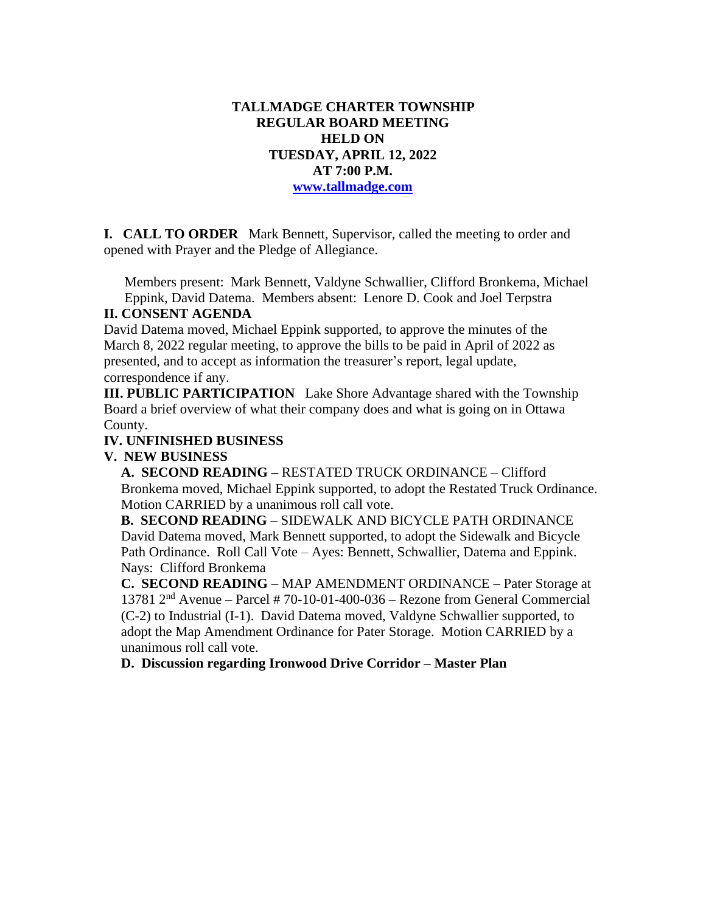## **TALLMADGE CHARTER TOWNSHIP REGULAR BOARD MEETING HELD ON TUESDAY, APRIL 12, 2022 AT 7:00 P.M. [www.tallmadge.com](http://www.tallmadge.com/)**

**I. CALL TO ORDER** Mark Bennett, Supervisor, called the meeting to order and opened with Prayer and the Pledge of Allegiance.

Members present: Mark Bennett, Valdyne Schwallier, Clifford Bronkema, Michael Eppink, David Datema. Members absent: Lenore D. Cook and Joel Terpstra

#### **II. CONSENT AGENDA**

David Datema moved, Michael Eppink supported, to approve the minutes of the March 8, 2022 regular meeting, to approve the bills to be paid in April of 2022 as presented, and to accept as information the treasurer's report, legal update, correspondence if any.

**III. PUBLIC PARTICIPATION** Lake Shore Advantage shared with the Township Board a brief overview of what their company does and what is going on in Ottawa County.

## **IV. UNFINISHED BUSINESS**

**V. NEW BUSINESS**

 **A. SECOND READING –** RESTATED TRUCK ORDINANCE – Clifford Bronkema moved, Michael Eppink supported, to adopt the Restated Truck Ordinance. Motion CARRIED by a unanimous roll call vote.

 **B. SECOND READING** – SIDEWALK AND BICYCLE PATH ORDINANCE David Datema moved, Mark Bennett supported, to adopt the Sidewalk and Bicycle Path Ordinance. Roll Call Vote – Ayes: Bennett, Schwallier, Datema and Eppink. Nays: Clifford Bronkema

 **C. SECOND READING** – MAP AMENDMENT ORDINANCE – Pater Storage at 13781  $2<sup>nd</sup>$  Avenue – Parcel # 70-10-01-400-036 – Rezone from General Commercial (C-2) to Industrial (I-1). David Datema moved, Valdyne Schwallier supported, to adopt the Map Amendment Ordinance for Pater Storage. Motion CARRIED by a unanimous roll call vote.

**D. Discussion regarding Ironwood Drive Corridor – Master Plan**